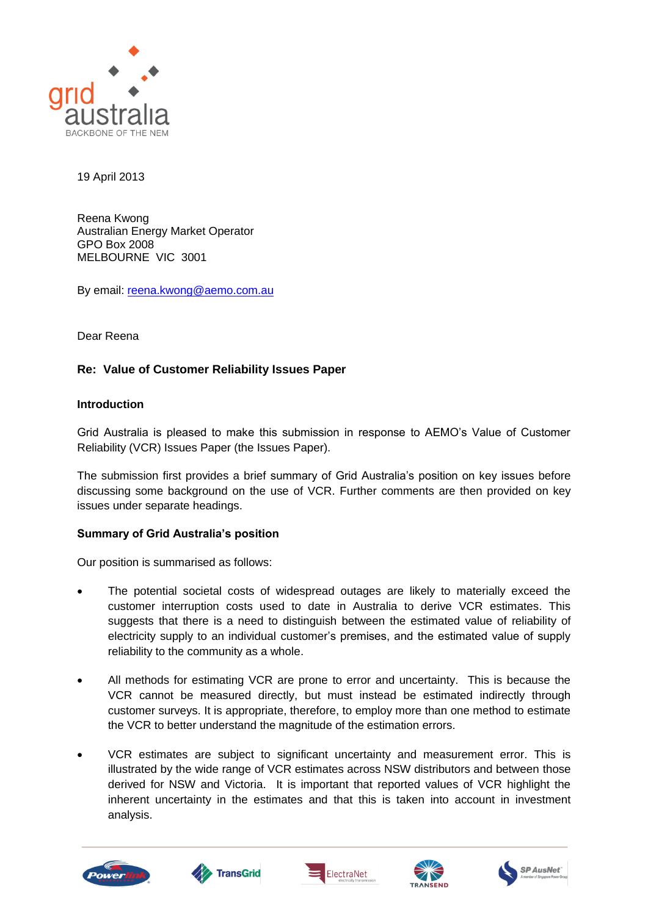

19 April 2013

Reena Kwong Australian Energy Market Operator GPO Box 2008 MELBOURNE VIC 3001

By email: [reena.kwong@aemo.com.au](mailto:reena.kwong@aemo.com.au)

Dear Reena

# **Re: Value of Customer Reliability Issues Paper**

### **Introduction**

Grid Australia is pleased to make this submission in response to AEMO"s Value of Customer Reliability (VCR) Issues Paper (the Issues Paper).

The submission first provides a brief summary of Grid Australia"s position on key issues before discussing some background on the use of VCR. Further comments are then provided on key issues under separate headings.

# **Summary of Grid Australia's position**

Our position is summarised as follows:

- The potential societal costs of widespread outages are likely to materially exceed the customer interruption costs used to date in Australia to derive VCR estimates. This suggests that there is a need to distinguish between the estimated value of reliability of electricity supply to an individual customer"s premises, and the estimated value of supply reliability to the community as a whole.
- All methods for estimating VCR are prone to error and uncertainty. This is because the VCR cannot be measured directly, but must instead be estimated indirectly through customer surveys. It is appropriate, therefore, to employ more than one method to estimate the VCR to better understand the magnitude of the estimation errors.
- VCR estimates are subject to significant uncertainty and measurement error. This is illustrated by the wide range of VCR estimates across NSW distributors and between those derived for NSW and Victoria. It is important that reported values of VCR highlight the inherent uncertainty in the estimates and that this is taken into account in investment analysis.









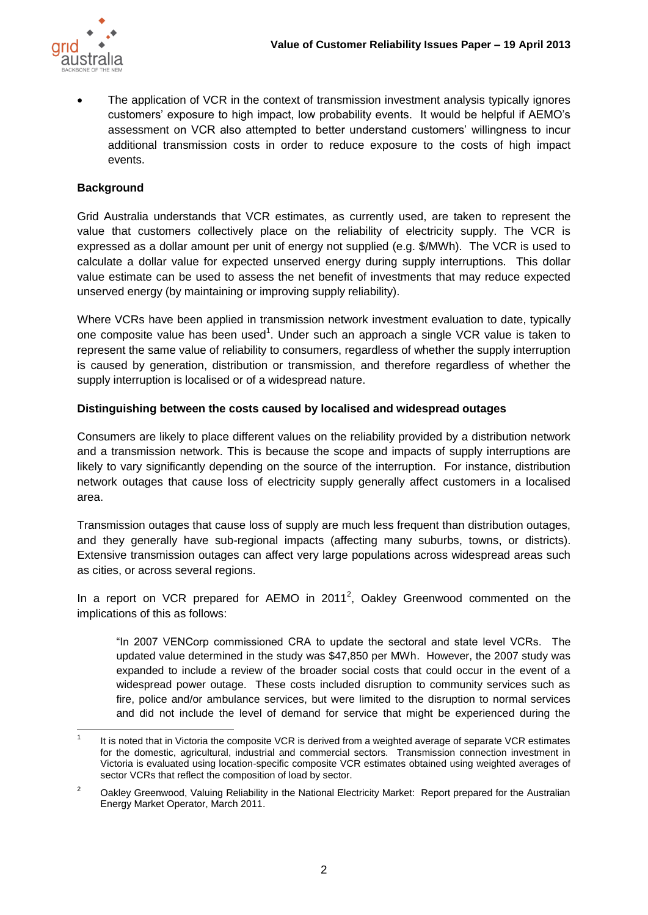

 The application of VCR in the context of transmission investment analysis typically ignores customers" exposure to high impact, low probability events. It would be helpful if AEMO"s assessment on VCR also attempted to better understand customers" willingness to incur additional transmission costs in order to reduce exposure to the costs of high impact events.

# **Background**

Grid Australia understands that VCR estimates, as currently used, are taken to represent the value that customers collectively place on the reliability of electricity supply. The VCR is expressed as a dollar amount per unit of energy not supplied (e.g. \$/MWh). The VCR is used to calculate a dollar value for expected unserved energy during supply interruptions. This dollar value estimate can be used to assess the net benefit of investments that may reduce expected unserved energy (by maintaining or improving supply reliability).

Where VCRs have been applied in transmission network investment evaluation to date, typically one composite value has been used<sup>1</sup>. Under such an approach a single VCR value is taken to represent the same value of reliability to consumers, regardless of whether the supply interruption is caused by generation, distribution or transmission, and therefore regardless of whether the supply interruption is localised or of a widespread nature.

# **Distinguishing between the costs caused by localised and widespread outages**

Consumers are likely to place different values on the reliability provided by a distribution network and a transmission network. This is because the scope and impacts of supply interruptions are likely to vary significantly depending on the source of the interruption. For instance, distribution network outages that cause loss of electricity supply generally affect customers in a localised area.

Transmission outages that cause loss of supply are much less frequent than distribution outages, and they generally have sub-regional impacts (affecting many suburbs, towns, or districts). Extensive transmission outages can affect very large populations across widespread areas such as cities, or across several regions.

In a report on VCR prepared for AEMO in 2011<sup>2</sup>, Oakley Greenwood commented on the implications of this as follows:

"In 2007 VENCorp commissioned CRA to update the sectoral and state level VCRs. The updated value determined in the study was \$47,850 per MWh. However, the 2007 study was expanded to include a review of the broader social costs that could occur in the event of a widespread power outage. These costs included disruption to community services such as fire, police and/or ambulance services, but were limited to the disruption to normal services and did not include the level of demand for service that might be experienced during the

 $\frac{1}{1}$ It is noted that in Victoria the composite VCR is derived from a weighted average of separate VCR estimates for the domestic, agricultural, industrial and commercial sectors. Transmission connection investment in Victoria is evaluated using location-specific composite VCR estimates obtained using weighted averages of sector VCRs that reflect the composition of load by sector.

<sup>&</sup>lt;sup>2</sup> Oakley Greenwood, Valuing Reliability in the National Electricity Market: Report prepared for the Australian Energy Market Operator, March 2011.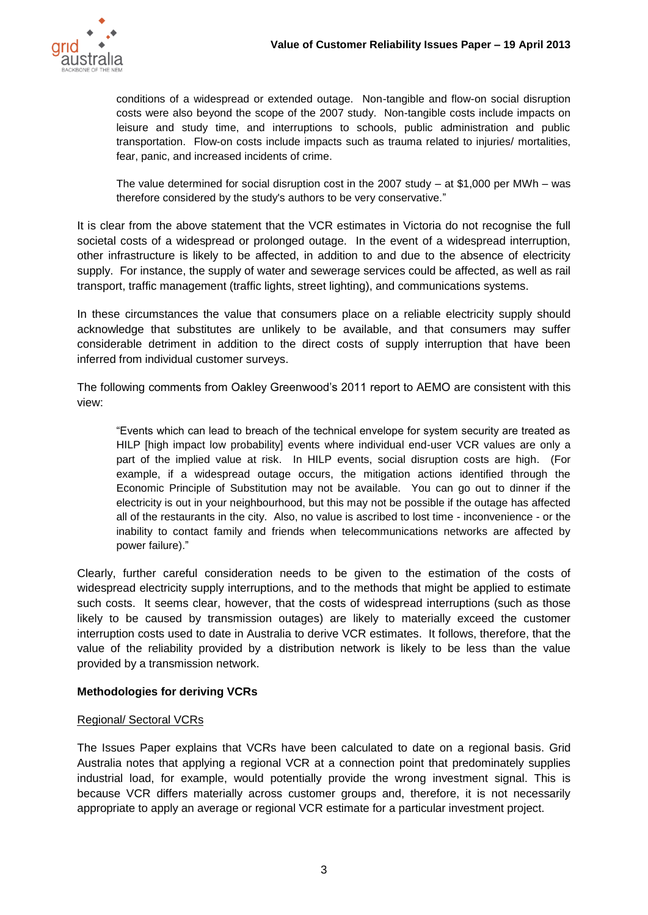

conditions of a widespread or extended outage. Non-tangible and flow-on social disruption costs were also beyond the scope of the 2007 study. Non-tangible costs include impacts on leisure and study time, and interruptions to schools, public administration and public transportation. Flow-on costs include impacts such as trauma related to injuries/ mortalities, fear, panic, and increased incidents of crime.

The value determined for social disruption cost in the 2007 study  $-$  at \$1,000 per MWh  $-$  was therefore considered by the study's authors to be very conservative."

It is clear from the above statement that the VCR estimates in Victoria do not recognise the full societal costs of a widespread or prolonged outage. In the event of a widespread interruption, other infrastructure is likely to be affected, in addition to and due to the absence of electricity supply. For instance, the supply of water and sewerage services could be affected, as well as rail transport, traffic management (traffic lights, street lighting), and communications systems.

In these circumstances the value that consumers place on a reliable electricity supply should acknowledge that substitutes are unlikely to be available, and that consumers may suffer considerable detriment in addition to the direct costs of supply interruption that have been inferred from individual customer surveys.

The following comments from Oakley Greenwood"s 2011 report to AEMO are consistent with this view:

"Events which can lead to breach of the technical envelope for system security are treated as HILP [high impact low probability] events where individual end-user VCR values are only a part of the implied value at risk. In HILP events, social disruption costs are high. (For example, if a widespread outage occurs, the mitigation actions identified through the Economic Principle of Substitution may not be available. You can go out to dinner if the electricity is out in your neighbourhood, but this may not be possible if the outage has affected all of the restaurants in the city. Also, no value is ascribed to lost time - inconvenience - or the inability to contact family and friends when telecommunications networks are affected by power failure)."

Clearly, further careful consideration needs to be given to the estimation of the costs of widespread electricity supply interruptions, and to the methods that might be applied to estimate such costs. It seems clear, however, that the costs of widespread interruptions (such as those likely to be caused by transmission outages) are likely to materially exceed the customer interruption costs used to date in Australia to derive VCR estimates. It follows, therefore, that the value of the reliability provided by a distribution network is likely to be less than the value provided by a transmission network.

# **Methodologies for deriving VCRs**

#### Regional/ Sectoral VCRs

The Issues Paper explains that VCRs have been calculated to date on a regional basis. Grid Australia notes that applying a regional VCR at a connection point that predominately supplies industrial load, for example, would potentially provide the wrong investment signal. This is because VCR differs materially across customer groups and, therefore, it is not necessarily appropriate to apply an average or regional VCR estimate for a particular investment project.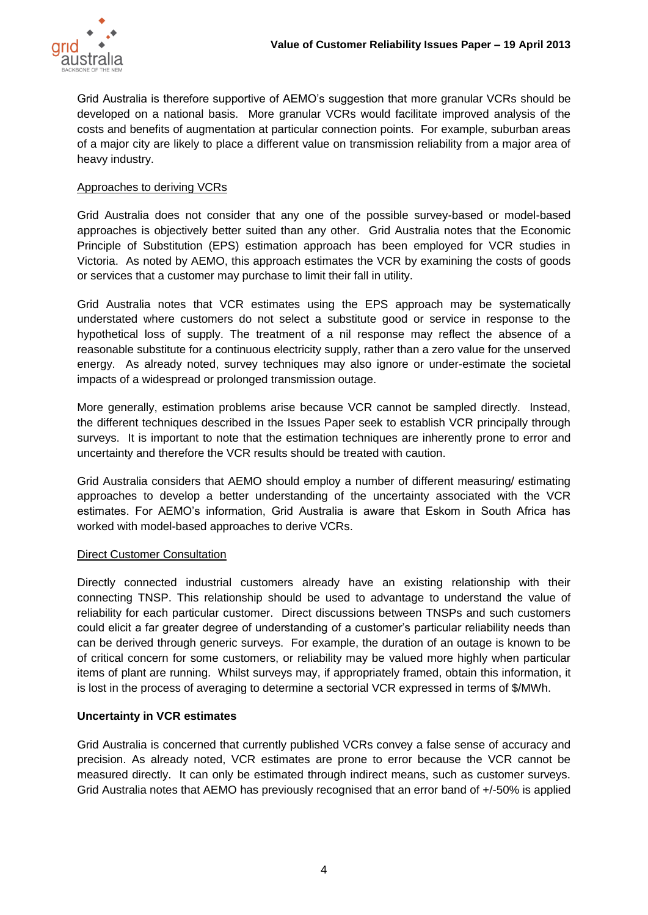

Grid Australia is therefore supportive of AEMO"s suggestion that more granular VCRs should be developed on a national basis. More granular VCRs would facilitate improved analysis of the costs and benefits of augmentation at particular connection points. For example, suburban areas of a major city are likely to place a different value on transmission reliability from a major area of heavy industry.

### Approaches to deriving VCRs

Grid Australia does not consider that any one of the possible survey-based or model-based approaches is objectively better suited than any other. Grid Australia notes that the Economic Principle of Substitution (EPS) estimation approach has been employed for VCR studies in Victoria. As noted by AEMO, this approach estimates the VCR by examining the costs of goods or services that a customer may purchase to limit their fall in utility.

Grid Australia notes that VCR estimates using the EPS approach may be systematically understated where customers do not select a substitute good or service in response to the hypothetical loss of supply. The treatment of a nil response may reflect the absence of a reasonable substitute for a continuous electricity supply, rather than a zero value for the unserved energy. As already noted, survey techniques may also ignore or under-estimate the societal impacts of a widespread or prolonged transmission outage.

More generally, estimation problems arise because VCR cannot be sampled directly. Instead, the different techniques described in the Issues Paper seek to establish VCR principally through surveys. It is important to note that the estimation techniques are inherently prone to error and uncertainty and therefore the VCR results should be treated with caution.

Grid Australia considers that AEMO should employ a number of different measuring/ estimating approaches to develop a better understanding of the uncertainty associated with the VCR estimates. For AEMO"s information, Grid Australia is aware that Eskom in South Africa has worked with model-based approaches to derive VCRs.

#### Direct Customer Consultation

Directly connected industrial customers already have an existing relationship with their connecting TNSP. This relationship should be used to advantage to understand the value of reliability for each particular customer. Direct discussions between TNSPs and such customers could elicit a far greater degree of understanding of a customer"s particular reliability needs than can be derived through generic surveys. For example, the duration of an outage is known to be of critical concern for some customers, or reliability may be valued more highly when particular items of plant are running. Whilst surveys may, if appropriately framed, obtain this information, it is lost in the process of averaging to determine a sectorial VCR expressed in terms of \$/MWh.

#### **Uncertainty in VCR estimates**

Grid Australia is concerned that currently published VCRs convey a false sense of accuracy and precision. As already noted, VCR estimates are prone to error because the VCR cannot be measured directly. It can only be estimated through indirect means, such as customer surveys. Grid Australia notes that AEMO has previously recognised that an error band of +/-50% is applied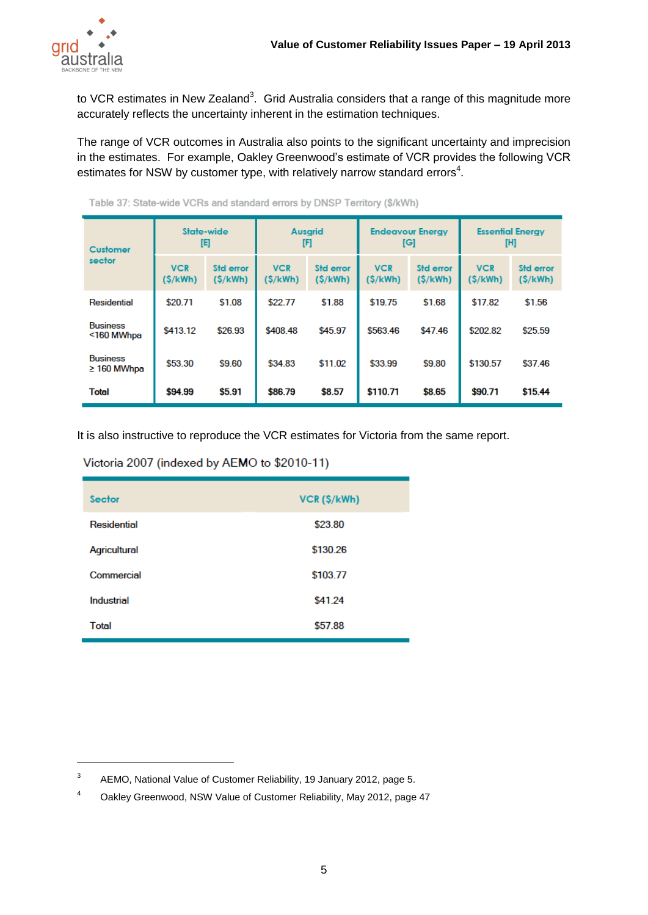

 $\overline{a}$ 

to VCR estimates in New Zealand<sup>3</sup>. Grid Australia considers that a range of this magnitude more accurately reflects the uncertainty inherent in the estimation techniques.

The range of VCR outcomes in Australia also points to the significant uncertainty and imprecision in the estimates. For example, Oakley Greenwood"s estimate of VCR provides the following VCR estimates for NSW by customer type, with relatively narrow standard errors<sup>4</sup>.

| <b>Customer</b><br>sector           | State-wide<br>旧       |                             | <b>Ausarid</b><br>[F]  |                      | <b>Endeavour Energy</b><br>[G] |                             | <b>Essential Energy</b><br>[H] |                      |
|-------------------------------------|-----------------------|-----------------------------|------------------------|----------------------|--------------------------------|-----------------------------|--------------------------------|----------------------|
|                                     | <b>VCR</b><br>(S/kWh) | <b>Std error</b><br>(S/kWh) | <b>VCR</b><br>(\$/kWh) | Std error<br>(S/kWh) | <b>VCR</b><br>(\$/kWh)         | <b>Std error</b><br>(S/kWh) | <b>VCR</b><br>(S/kWh)          | Std error<br>(S/kWh) |
| Residential                         | \$20.71               | \$1.08                      | \$22.77                | \$1.88               | \$19.75                        | \$1.68                      | \$17.82                        | \$1.56               |
| <b>Business</b><br><160 MWhpa       | \$413.12              | \$26.93                     | \$408.48               | \$45.97              | \$563.46                       | \$47.46                     | \$202.82                       | \$25.59              |
| <b>Business</b><br>$\geq$ 160 MWhpa | \$53.30               | \$9.60                      | \$34.83                | \$11.02              | \$33.99                        | \$9.80                      | \$130.57                       | \$37.46              |
| <b>Total</b>                        | \$94.99               | \$5.91                      | \$86.79                | \$8.57               | \$110.71                       | \$8.65                      | \$90.71                        | \$15.44              |

Table 37: State-wide VCRs and standard errors by DNSP Territory (\$/kWh)

It is also instructive to reproduce the VCR estimates for Victoria from the same report.

### Victoria 2007 (indexed by AEMO to \$2010-11)

| <b>Sector</b> | VCR (\$/kWh) |
|---------------|--------------|
| Residential   | \$23.80      |
| Agricultural  | \$130.26     |
| Commercial    | \$103.77     |
| Industrial    | \$41.24      |
| Total         | \$57.88      |

<sup>3</sup> AEMO, National Value of Customer Reliability, 19 January 2012, page 5.

<sup>4</sup> Oakley Greenwood, NSW Value of Customer Reliability, May 2012, page 47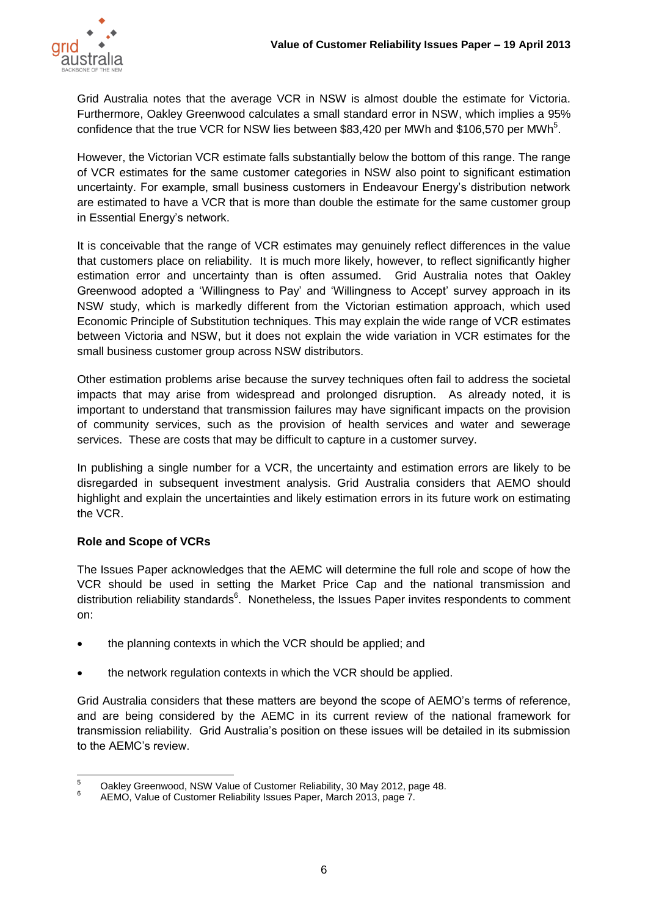

Grid Australia notes that the average VCR in NSW is almost double the estimate for Victoria. Furthermore, Oakley Greenwood calculates a small standard error in NSW, which implies a 95% confidence that the true VCR for NSW lies between \$83,420 per MWh and \$106,570 per MWh<sup>5</sup>.

However, the Victorian VCR estimate falls substantially below the bottom of this range. The range of VCR estimates for the same customer categories in NSW also point to significant estimation uncertainty. For example, small business customers in Endeavour Energy"s distribution network are estimated to have a VCR that is more than double the estimate for the same customer group in Essential Energy's network.

It is conceivable that the range of VCR estimates may genuinely reflect differences in the value that customers place on reliability. It is much more likely, however, to reflect significantly higher estimation error and uncertainty than is often assumed. Grid Australia notes that Oakley Greenwood adopted a "Willingness to Pay" and "Willingness to Accept" survey approach in its NSW study, which is markedly different from the Victorian estimation approach, which used Economic Principle of Substitution techniques. This may explain the wide range of VCR estimates between Victoria and NSW, but it does not explain the wide variation in VCR estimates for the small business customer group across NSW distributors.

Other estimation problems arise because the survey techniques often fail to address the societal impacts that may arise from widespread and prolonged disruption. As already noted, it is important to understand that transmission failures may have significant impacts on the provision of community services, such as the provision of health services and water and sewerage services. These are costs that may be difficult to capture in a customer survey.

In publishing a single number for a VCR, the uncertainty and estimation errors are likely to be disregarded in subsequent investment analysis. Grid Australia considers that AEMO should highlight and explain the uncertainties and likely estimation errors in its future work on estimating the VCR.

# **Role and Scope of VCRs**

The Issues Paper acknowledges that the AEMC will determine the full role and scope of how the VCR should be used in setting the Market Price Cap and the national transmission and distribution reliability standards<sup>6</sup>. Nonetheless, the Issues Paper invites respondents to comment on:

- the planning contexts in which the VCR should be applied; and
- the network regulation contexts in which the VCR should be applied.

Grid Australia considers that these matters are beyond the scope of AEMO"s terms of reference, and are being considered by the AEMC in its current review of the national framework for transmission reliability. Grid Australia"s position on these issues will be detailed in its submission to the AEMC"s review.

 $\overline{5}$ <sup>5</sup> Oakley Greenwood, NSW Value of Customer Reliability, 30 May 2012, page 48. 6

AEMO, Value of Customer Reliability Issues Paper, March 2013, page 7.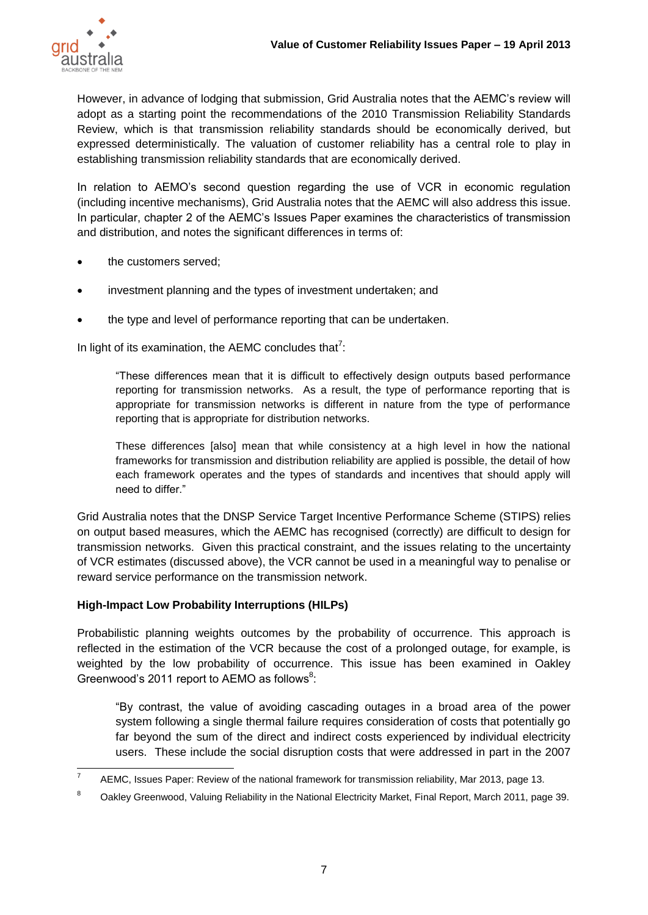

However, in advance of lodging that submission, Grid Australia notes that the AEMC"s review will adopt as a starting point the recommendations of the 2010 Transmission Reliability Standards Review, which is that transmission reliability standards should be economically derived, but expressed deterministically. The valuation of customer reliability has a central role to play in establishing transmission reliability standards that are economically derived.

In relation to AEMO"s second question regarding the use of VCR in economic regulation (including incentive mechanisms), Grid Australia notes that the AEMC will also address this issue. In particular, chapter 2 of the AEMC"s Issues Paper examines the characteristics of transmission and distribution, and notes the significant differences in terms of:

- the customers served;
- investment planning and the types of investment undertaken; and
- the type and level of performance reporting that can be undertaken.

In light of its examination, the AEMC concludes that<sup>7</sup>:

"These differences mean that it is difficult to effectively design outputs based performance reporting for transmission networks. As a result, the type of performance reporting that is appropriate for transmission networks is different in nature from the type of performance reporting that is appropriate for distribution networks.

These differences [also] mean that while consistency at a high level in how the national frameworks for transmission and distribution reliability are applied is possible, the detail of how each framework operates and the types of standards and incentives that should apply will need to differ."

Grid Australia notes that the DNSP Service Target Incentive Performance Scheme (STIPS) relies on output based measures, which the AEMC has recognised (correctly) are difficult to design for transmission networks. Given this practical constraint, and the issues relating to the uncertainty of VCR estimates (discussed above), the VCR cannot be used in a meaningful way to penalise or reward service performance on the transmission network.

# **High-Impact Low Probability Interruptions (HILPs)**

Probabilistic planning weights outcomes by the probability of occurrence. This approach is reflected in the estimation of the VCR because the cost of a prolonged outage, for example, is weighted by the low probability of occurrence. This issue has been examined in Oakley Greenwood's 2011 report to AEMO as follows $8$ :

"By contrast, the value of avoiding cascading outages in a broad area of the power system following a single thermal failure requires consideration of costs that potentially go far beyond the sum of the direct and indirect costs experienced by individual electricity users. These include the social disruption costs that were addressed in part in the 2007

<sup>-&</sup>lt;br>7 AEMC, Issues Paper: Review of the national framework for transmission reliability, Mar 2013, page 13.

<sup>&</sup>lt;sup>8</sup> Oakley Greenwood, Valuing Reliability in the National Electricity Market, Final Report, March 2011, page 39.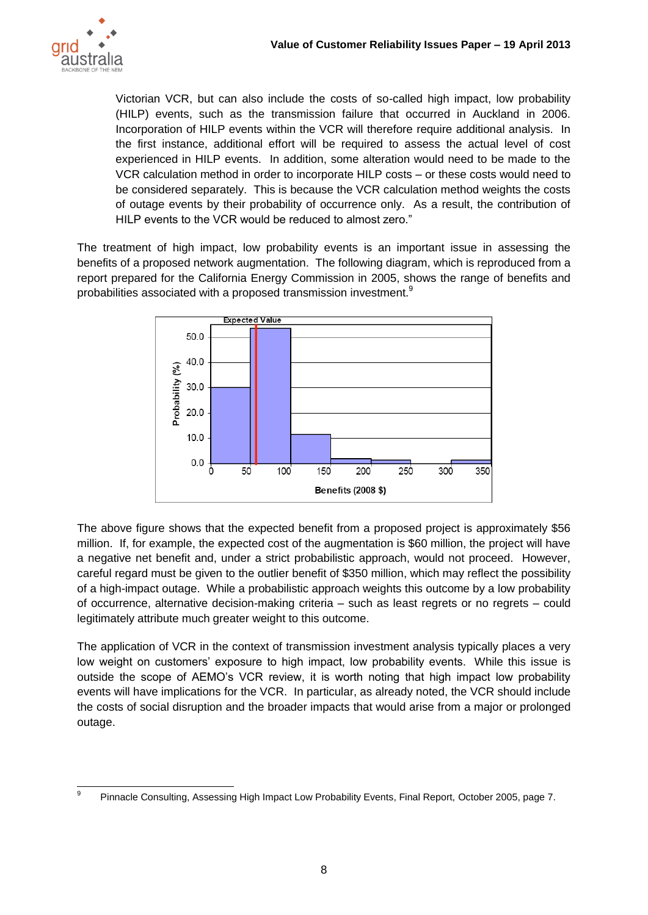

Victorian VCR, but can also include the costs of so-called high impact, low probability (HILP) events, such as the transmission failure that occurred in Auckland in 2006. Incorporation of HILP events within the VCR will therefore require additional analysis. In the first instance, additional effort will be required to assess the actual level of cost experienced in HILP events. In addition, some alteration would need to be made to the VCR calculation method in order to incorporate HILP costs – or these costs would need to be considered separately. This is because the VCR calculation method weights the costs of outage events by their probability of occurrence only. As a result, the contribution of HILP events to the VCR would be reduced to almost zero."

The treatment of high impact, low probability events is an important issue in assessing the benefits of a proposed network augmentation. The following diagram, which is reproduced from a report prepared for the California Energy Commission in 2005, shows the range of benefits and probabilities associated with a proposed transmission investment. $9$ 



The above figure shows that the expected benefit from a proposed project is approximately \$56 million. If, for example, the expected cost of the augmentation is \$60 million, the project will have a negative net benefit and, under a strict probabilistic approach, would not proceed. However, careful regard must be given to the outlier benefit of \$350 million, which may reflect the possibility of a high-impact outage. While a probabilistic approach weights this outcome by a low probability of occurrence, alternative decision-making criteria – such as least regrets or no regrets – could legitimately attribute much greater weight to this outcome.

The application of VCR in the context of transmission investment analysis typically places a very low weight on customers" exposure to high impact, low probability events. While this issue is outside the scope of AEMO"s VCR review, it is worth noting that high impact low probability events will have implications for the VCR. In particular, as already noted, the VCR should include the costs of social disruption and the broader impacts that would arise from a major or prolonged outage.

<sup>-&</sup>lt;br>9 Pinnacle Consulting, Assessing High Impact Low Probability Events, Final Report, October 2005, page 7.